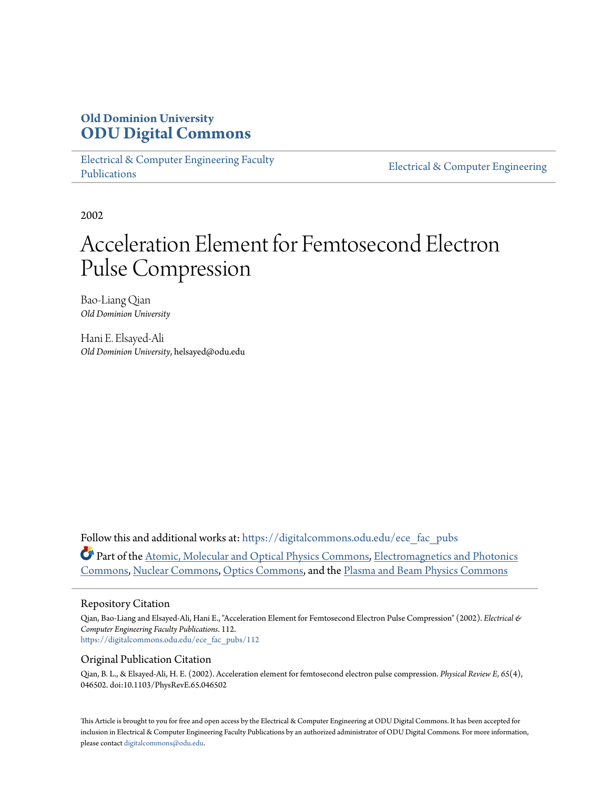# **Old Dominion University [ODU Digital Commons](https://digitalcommons.odu.edu?utm_source=digitalcommons.odu.edu%2Fece_fac_pubs%2F112&utm_medium=PDF&utm_campaign=PDFCoverPages)**

[Electrical & Computer Engineering Faculty](https://digitalcommons.odu.edu/ece_fac_pubs?utm_source=digitalcommons.odu.edu%2Fece_fac_pubs%2F112&utm_medium=PDF&utm_campaign=PDFCoverPages) [Publications](https://digitalcommons.odu.edu/ece_fac_pubs?utm_source=digitalcommons.odu.edu%2Fece_fac_pubs%2F112&utm_medium=PDF&utm_campaign=PDFCoverPages)

[Electrical & Computer Engineering](https://digitalcommons.odu.edu/ece?utm_source=digitalcommons.odu.edu%2Fece_fac_pubs%2F112&utm_medium=PDF&utm_campaign=PDFCoverPages)

2002

# Acceleration Element for Femtosecond Electron Pulse Compression

Bao-Liang Qian *Old Dominion University*

Hani E. Elsayed-Ali *Old Dominion University*, helsayed@odu.edu

Follow this and additional works at: [https://digitalcommons.odu.edu/ece\\_fac\\_pubs](https://digitalcommons.odu.edu/ece_fac_pubs?utm_source=digitalcommons.odu.edu%2Fece_fac_pubs%2F112&utm_medium=PDF&utm_campaign=PDFCoverPages) Part of the [Atomic, Molecular and Optical Physics Commons,](http://network.bepress.com/hgg/discipline/195?utm_source=digitalcommons.odu.edu%2Fece_fac_pubs%2F112&utm_medium=PDF&utm_campaign=PDFCoverPages) [Electromagnetics and Photonics](http://network.bepress.com/hgg/discipline/271?utm_source=digitalcommons.odu.edu%2Fece_fac_pubs%2F112&utm_medium=PDF&utm_campaign=PDFCoverPages) [Commons,](http://network.bepress.com/hgg/discipline/271?utm_source=digitalcommons.odu.edu%2Fece_fac_pubs%2F112&utm_medium=PDF&utm_campaign=PDFCoverPages) [Nuclear Commons](http://network.bepress.com/hgg/discipline/203?utm_source=digitalcommons.odu.edu%2Fece_fac_pubs%2F112&utm_medium=PDF&utm_campaign=PDFCoverPages), [Optics Commons,](http://network.bepress.com/hgg/discipline/204?utm_source=digitalcommons.odu.edu%2Fece_fac_pubs%2F112&utm_medium=PDF&utm_campaign=PDFCoverPages) and the [Plasma and Beam Physics Commons](http://network.bepress.com/hgg/discipline/205?utm_source=digitalcommons.odu.edu%2Fece_fac_pubs%2F112&utm_medium=PDF&utm_campaign=PDFCoverPages)

## Repository Citation

Qian, Bao-Liang and Elsayed-Ali, Hani E., "Acceleration Element for Femtosecond Electron Pulse Compression" (2002). *Electrical & Computer Engineering Faculty Publications*. 112. [https://digitalcommons.odu.edu/ece\\_fac\\_pubs/112](https://digitalcommons.odu.edu/ece_fac_pubs/112?utm_source=digitalcommons.odu.edu%2Fece_fac_pubs%2F112&utm_medium=PDF&utm_campaign=PDFCoverPages)

# Original Publication Citation

Qian, B. L., & Elsayed-Ali, H. E. (2002). Acceleration element for femtosecond electron pulse compression. *Physical Review E, 65*(4), 046502. doi:10.1103/PhysRevE.65.046502

This Article is brought to you for free and open access by the Electrical & Computer Engineering at ODU Digital Commons. It has been accepted for inclusion in Electrical & Computer Engineering Faculty Publications by an authorized administrator of ODU Digital Commons. For more information, please contact [digitalcommons@odu.edu](mailto:digitalcommons@odu.edu).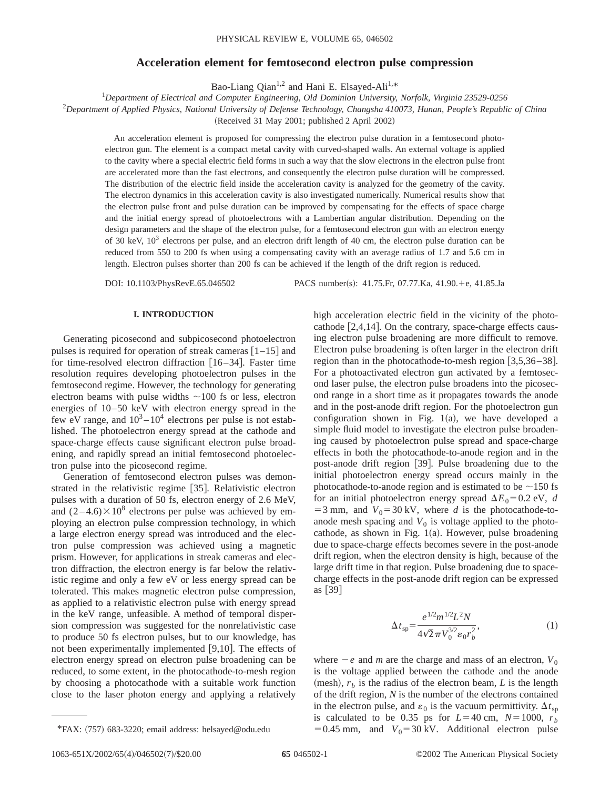## **Acceleration element for femtosecond electron pulse compression**

Bao-Liang Qian<sup>1,2</sup> and Hani E. Elsayed-Ali<sup>1,\*</sup>

*Department of Electrical and Computer Engineering, Old Dominion University, Norfolk, Virginia 23529-0256*

2 *Department of Applied Physics, National University of Defense Technology, Changsha 410073, Hunan, People's Republic of China*

(Received 31 May 2001; published 2 April 2002)

An acceleration element is proposed for compressing the electron pulse duration in a femtosecond photoelectron gun. The element is a compact metal cavity with curved-shaped walls. An external voltage is applied to the cavity where a special electric field forms in such a way that the slow electrons in the electron pulse front are accelerated more than the fast electrons, and consequently the electron pulse duration will be compressed. The distribution of the electric field inside the acceleration cavity is analyzed for the geometry of the cavity. The electron dynamics in this acceleration cavity is also investigated numerically. Numerical results show that the electron pulse front and pulse duration can be improved by compensating for the effects of space charge and the initial energy spread of photoelectrons with a Lambertian angular distribution. Depending on the design parameters and the shape of the electron pulse, for a femtosecond electron gun with an electron energy of 30 keV,  $10^3$  electrons per pulse, and an electron drift length of 40 cm, the electron pulse duration can be reduced from 550 to 200 fs when using a compensating cavity with an average radius of 1.7 and 5.6 cm in length. Electron pulses shorter than 200 fs can be achieved if the length of the drift region is reduced.

DOI: 10.1103/PhysRevE.65.046502 PACS number(s): 41.75.Fr, 07.77.Ka, 41.90.+e, 41.85.Ja

#### **I. INTRODUCTION**

Generating picosecond and subpicosecond photoelectron pulses is required for operation of streak cameras  $[1-15]$  and for time-resolved electron diffraction  $[16–34]$ . Faster time resolution requires developing photoelectron pulses in the femtosecond regime. However, the technology for generating electron beams with pulse widths  $\sim$ 100 fs or less, electron energies of 10–50 keV with electron energy spread in the few eV range, and  $10^3 - 10^4$  electrons per pulse is not established. The photoelectron energy spread at the cathode and space-charge effects cause significant electron pulse broadening, and rapidly spread an initial femtosecond photoelectron pulse into the picosecond regime.

Generation of femtosecond electron pulses was demonstrated in the relativistic regime [35]. Relativistic electron pulses with a duration of 50 fs, electron energy of 2.6 MeV, and  $(2-4.6)\times10^8$  electrons per pulse was achieved by employing an electron pulse compression technology, in which a large electron energy spread was introduced and the electron pulse compression was achieved using a magnetic prism. However, for applications in streak cameras and electron diffraction, the electron energy is far below the relativistic regime and only a few eV or less energy spread can be tolerated. This makes magnetic electron pulse compression, as applied to a relativistic electron pulse with energy spread in the keV range, unfeasible. A method of temporal dispersion compression was suggested for the nonrelativistic case to produce 50 fs electron pulses, but to our knowledge, has not been experimentally implemented  $[9,10]$ . The effects of electron energy spread on electron pulse broadening can be reduced, to some extent, in the photocathode-to-mesh region by choosing a photocathode with a suitable work function close to the laser photon energy and applying a relatively

high acceleration electric field in the vicinity of the photo-

$$
\Delta t_{\rm sp} = \frac{e^{1/2} m^{1/2} L^2 N}{4\sqrt{2} \pi V_0^{3/2} \varepsilon_0 r_b^2},\tag{1}
$$

where  $-e$  and *m* are the charge and mass of an electron,  $V_0$ is the voltage applied between the cathode and the anode (mesh),  $r_b$  is the radius of the electron beam, *L* is the length of the drift region, *N* is the number of the electrons contained in the electron pulse, and  $\varepsilon_0$  is the vacuum permittivity.  $\Delta t_{\rm{sp}}$ is calculated to be 0.35 ps for  $L=40$  cm,  $N=1000$ ,  $r<sub>b</sub>$ \*FAX: (757) 683-3220; email address: helsayed@odu.edu = 0.45 mm, and  $V_0 = 30 \text{ kV}$ . Additional electron pulse

cathode  $[2,4,14]$ . On the contrary, space-charge effects causing electron pulse broadening are more difficult to remove. Electron pulse broadening is often larger in the electron drift region than in the photocathode-to-mesh region  $[3,5,36-38]$ . For a photoactivated electron gun activated by a femtosecond laser pulse, the electron pulse broadens into the picosecond range in a short time as it propagates towards the anode and in the post-anode drift region. For the photoelectron gun configuration shown in Fig.  $1(a)$ , we have developed a simple fluid model to investigate the electron pulse broadening caused by photoelectron pulse spread and space-charge effects in both the photocathode-to-anode region and in the post-anode drift region [39]. Pulse broadening due to the initial photoelectron energy spread occurs mainly in the photocathode-to-anode region and is estimated to be  $\sim$ 150 fs for an initial photoelectron energy spread  $\Delta E_0 = 0.2$  eV, *d* = 3 mm, and  $V_0$ = 30 kV, where *d* is the photocathode-toanode mesh spacing and  $V_0$  is voltage applied to the photocathode, as shown in Fig.  $1(a)$ . However, pulse broadening due to space-charge effects becomes severe in the post-anode drift region, when the electron density is high, because of the large drift time in that region. Pulse broadening due to spacecharge effects in the post-anode drift region can be expressed as  $[39]$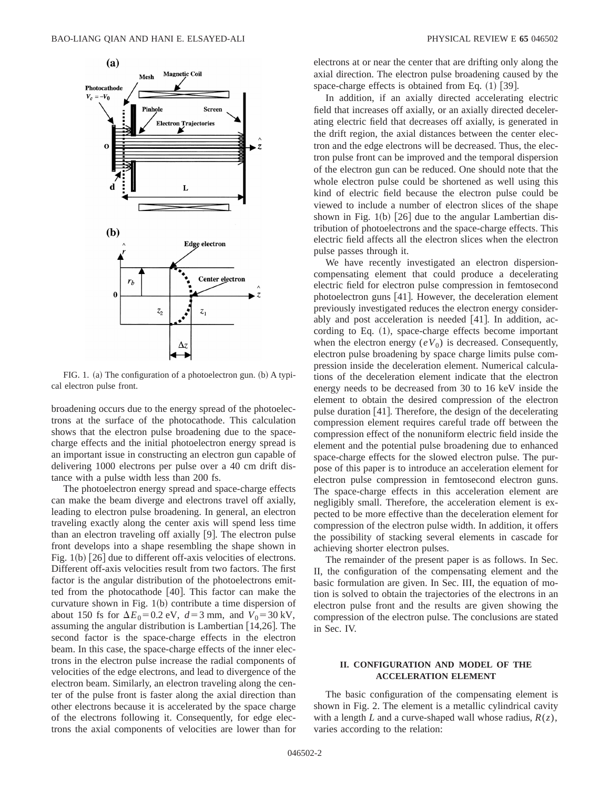

FIG. 1. (a) The configuration of a photoelectron gun. (b) A typical electron pulse front.

broadening occurs due to the energy spread of the photoelectrons at the surface of the photocathode. This calculation shows that the electron pulse broadening due to the spacecharge effects and the initial photoelectron energy spread is an important issue in constructing an electron gun capable of delivering 1000 electrons per pulse over a 40 cm drift distance with a pulse width less than 200 fs.

The photoelectron energy spread and space-charge effects can make the beam diverge and electrons travel off axially, leading to electron pulse broadening. In general, an electron traveling exactly along the center axis will spend less time than an electron traveling off axially  $[9]$ . The electron pulse front develops into a shape resembling the shape shown in Fig.  $1(b)$   $[26]$  due to different off-axis velocities of electrons. Different off-axis velocities result from two factors. The first factor is the angular distribution of the photoelectrons emitted from the photocathode  $[40]$ . This factor can make the curvature shown in Fig.  $1(b)$  contribute a time dispersion of about 150 fs for  $\Delta E_0 = 0.2$  eV,  $d = 3$  mm, and  $V_0 = 30$  kV, assuming the angular distribution is Lambertian  $[14,26]$ . The second factor is the space-charge effects in the electron beam. In this case, the space-charge effects of the inner electrons in the electron pulse increase the radial components of velocities of the edge electrons, and lead to divergence of the electron beam. Similarly, an electron traveling along the center of the pulse front is faster along the axial direction than other electrons because it is accelerated by the space charge of the electrons following it. Consequently, for edge electrons the axial components of velocities are lower than for

electrons at or near the center that are drifting only along the axial direction. The electron pulse broadening caused by the space-charge effects is obtained from Eq.  $(1)$  [39].

In addition, if an axially directed accelerating electric field that increases off axially, or an axially directed decelerating electric field that decreases off axially, is generated in the drift region, the axial distances between the center electron and the edge electrons will be decreased. Thus, the electron pulse front can be improved and the temporal dispersion of the electron gun can be reduced. One should note that the whole electron pulse could be shortened as well using this kind of electric field because the electron pulse could be viewed to include a number of electron slices of the shape shown in Fig. 1(b)  $[26]$  due to the angular Lambertian distribution of photoelectrons and the space-charge effects. This electric field affects all the electron slices when the electron pulse passes through it.

We have recently investigated an electron dispersioncompensating element that could produce a decelerating electric field for electron pulse compression in femtosecond photoelectron guns  $[41]$ . However, the deceleration element previously investigated reduces the electron energy considerably and post acceleration is needed  $[41]$ . In addition, according to Eq.  $(1)$ , space-charge effects become important when the electron energy  $(eV_0)$  is decreased. Consequently, electron pulse broadening by space charge limits pulse compression inside the deceleration element. Numerical calculations of the deceleration element indicate that the electron energy needs to be decreased from 30 to 16 keV inside the element to obtain the desired compression of the electron pulse duration  $[41]$ . Therefore, the design of the decelerating compression element requires careful trade off between the compression effect of the nonuniform electric field inside the element and the potential pulse broadening due to enhanced space-charge effects for the slowed electron pulse. The purpose of this paper is to introduce an acceleration element for electron pulse compression in femtosecond electron guns. The space-charge effects in this acceleration element are negligibly small. Therefore, the acceleration element is expected to be more effective than the deceleration element for compression of the electron pulse width. In addition, it offers the possibility of stacking several elements in cascade for achieving shorter electron pulses.

The remainder of the present paper is as follows. In Sec. II, the configuration of the compensating element and the basic formulation are given. In Sec. III, the equation of motion is solved to obtain the trajectories of the electrons in an electron pulse front and the results are given showing the compression of the electron pulse. The conclusions are stated in Sec. IV.

#### **II. CONFIGURATION AND MODEL OF THE ACCELERATION ELEMENT**

The basic configuration of the compensating element is shown in Fig. 2. The element is a metallic cylindrical cavity with a length *L* and a curve-shaped wall whose radius, *R*(*z*), varies according to the relation: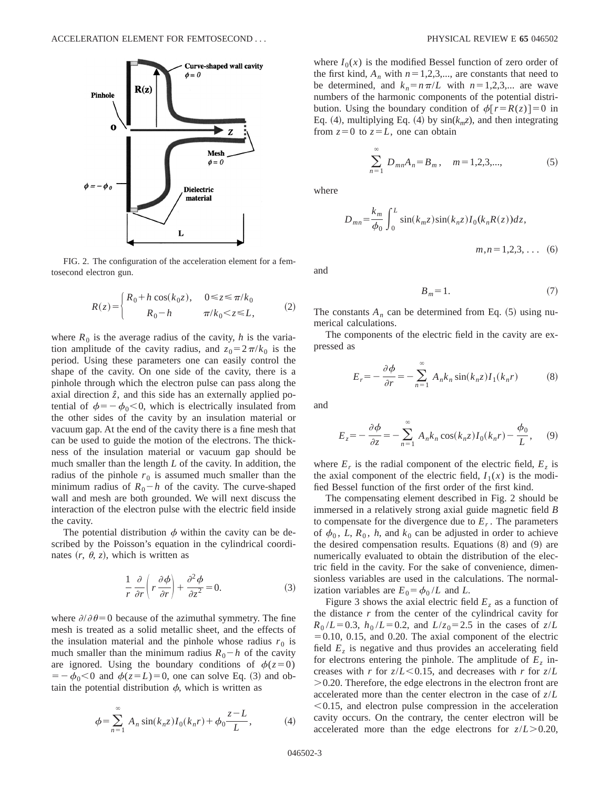

FIG. 2. The configuration of the acceleration element for a femtosecond electron gun.

$$
R(z) = \begin{cases} R_0 + h\cos(k_0 z), & 0 \le z \le \pi/k_0 \\ R_0 - h & \pi/k_0 < z \le L, \end{cases} \tag{2}
$$

where  $R_0$  is the average radius of the cavity, *h* is the variation amplitude of the cavity radius, and  $z_0 = 2\pi/k_0$  is the period. Using these parameters one can easily control the shape of the cavity. On one side of the cavity, there is a pinhole through which the electron pulse can pass along the axial direction  $\hat{z}$ , and this side has an externally applied potential of  $\phi = -\phi_0 < 0$ , which is electrically insulated from the other sides of the cavity by an insulation material or vacuum gap. At the end of the cavity there is a fine mesh that can be used to guide the motion of the electrons. The thickness of the insulation material or vacuum gap should be much smaller than the length *L* of the cavity. In addition, the radius of the pinhole  $r_0$  is assumed much smaller than the minimum radius of  $R_0 - h$  of the cavity. The curve-shaped wall and mesh are both grounded. We will next discuss the interaction of the electron pulse with the electric field inside the cavity.

The potential distribution  $\phi$  within the cavity can be described by the Poisson's equation in the cylindrical coordinates  $(r, \theta, z)$ , which is written as

$$
\frac{1}{r}\frac{\partial}{\partial r}\left(r\frac{\partial\phi}{\partial r}\right) + \frac{\partial^2\phi}{\partial z^2} = 0.
$$
 (3)

where  $\partial/\partial\theta=0$  because of the azimuthal symmetry. The fine mesh is treated as a solid metallic sheet, and the effects of the insulation material and the pinhole whose radius  $r_0$  is much smaller than the minimum radius  $R_0 - h$  of the cavity are ignored. Using the boundary conditions of  $\phi(z=0)$  $=$   $-\phi_0$ <0 and  $\phi(z=L)$ =0, one can solve Eq. (3) and obtain the potential distribution  $\phi$ , which is written as

$$
\phi = \sum_{n=1}^{\infty} A_n \sin(k_n z) I_0(k_n r) + \phi_0 \frac{z - L}{L},
$$
 (4)

where  $I_0(x)$  is the modified Bessel function of zero order of the first kind,  $A_n$  with  $n=1,2,3,...$ , are constants that need to be determined, and  $k_n=n\pi/L$  with  $n=1,2,3,...$  are wave numbers of the harmonic components of the potential distribution. Using the boundary condition of  $\phi[r=R(z)] = 0$  in Eq. (4), multiplying Eq. (4) by  $sin(k_m z)$ , and then integrating from  $z=0$  to  $z=L$ , one can obtain

$$
\sum_{n=1}^{\infty} D_{mn} A_n = B_m, \quad m = 1, 2, 3, \dots,
$$
 (5)

where

$$
D_{mn} = \frac{k_m}{\phi_0} \int_0^L \sin(k_m z) \sin(k_n z) I_0(k_n R(z)) dz,
$$
  

$$
m, n = 1, 2, 3, ... \quad (6)
$$

and

$$
B_m = 1.\t\t(7)
$$

The constants  $A_n$  can be determined from Eq.  $(5)$  using numerical calculations.

The components of the electric field in the cavity are expressed as

$$
E_r = -\frac{\partial \phi}{\partial r} = -\sum_{n=1}^{\infty} A_n k_n \sin(k_n z) I_1(k_n r)
$$
 (8)

and

$$
E_z = -\frac{\partial \phi}{\partial z} = -\sum_{n=1}^{\infty} A_n k_n \cos(k_n z) I_0(k_n r) - \frac{\phi_0}{L}, \quad (9)
$$

where  $E_r$  is the radial component of the electric field,  $E_z$  is the axial component of the electric field,  $I_1(x)$  is the modified Bessel function of the first order of the first kind.

The compensating element described in Fig. 2 should be immersed in a relatively strong axial guide magnetic field *B* to compensate for the divergence due to  $E_r$ . The parameters of  $\phi_0$ , *L*,  $R_0$ , *h*, and  $k_0$  can be adjusted in order to achieve the desired compensation results. Equations  $(8)$  and  $(9)$  are numerically evaluated to obtain the distribution of the electric field in the cavity. For the sake of convenience, dimensionless variables are used in the calculations. The normalization variables are  $E_0 = \phi_0 / L$  and *L*.

Figure 3 shows the axial electric field  $E<sub>z</sub>$  as a function of the distance *r* from the center of the cylindrical cavity for  $R_0 / L = 0.3$ ,  $h_0 / L = 0.2$ , and  $L / z_0 = 2.5$  in the cases of  $z / L$  $=0.10$ , 0.15, and 0.20. The axial component of the electric field  $E<sub>z</sub>$  is negative and thus provides an accelerating field for electrons entering the pinhole. The amplitude of  $E<sub>z</sub>$  increases with *r* for  $z/L < 0.15$ , and decreases with *r* for  $z/L$  $>0.20$ . Therefore, the edge electrons in the electron front are accelerated more than the center electron in the case of *z*/*L*  $< 0.15$ , and electron pulse compression in the acceleration cavity occurs. On the contrary, the center electron will be accelerated more than the edge electrons for  $z/L > 0.20$ ,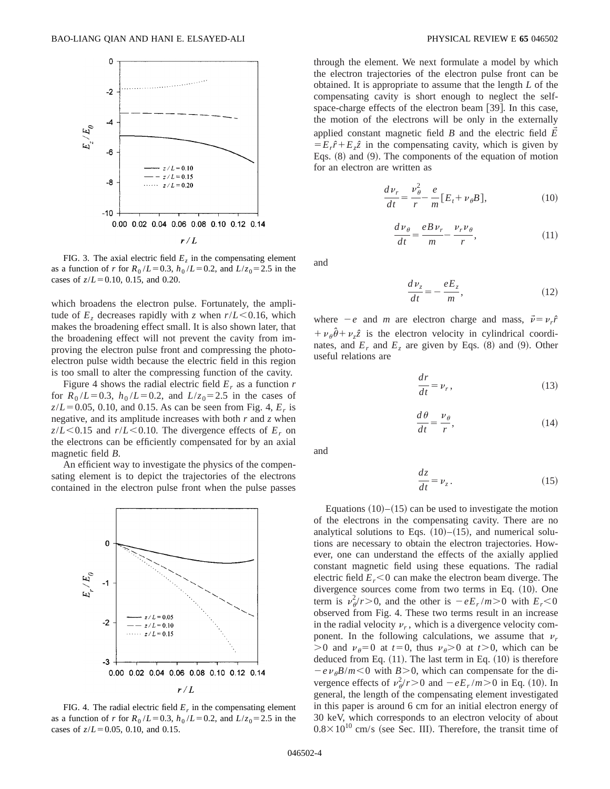

FIG. 3. The axial electric field  $E<sub>z</sub>$  in the compensating element as a function of *r* for  $R_0 / L = 0.3$ ,  $h_0 / L = 0.2$ , and  $L / z_0 = 2.5$  in the cases of  $z/L = 0.10$ , 0.15, and 0.20.

which broadens the electron pulse. Fortunately, the amplitude of  $E_z$  decreases rapidly with *z* when  $r/L < 0.16$ , which makes the broadening effect small. It is also shown later, that the broadening effect will not prevent the cavity from improving the electron pulse front and compressing the photoelectron pulse width because the electric field in this region is too small to alter the compressing function of the cavity.

Figure 4 shows the radial electric field  $E_r$  as a function  $r$ for  $R_0 / L = 0.3$ ,  $h_0 / L = 0.2$ , and  $L / z_0 = 2.5$  in the cases of  $z/L = 0.05$ , 0.10, and 0.15. As can be seen from Fig. 4,  $E_r$  is negative, and its amplitude increases with both *r* and *z* when  $z/L < 0.15$  and  $r/L < 0.10$ . The divergence effects of  $E_r$  on the electrons can be efficiently compensated for by an axial magnetic field *B*.

An efficient way to investigate the physics of the compensating element is to depict the trajectories of the electrons contained in the electron pulse front when the pulse passes



FIG. 4. The radial electric field  $E_r$  in the compensating element as a function of *r* for  $R_0 / L = 0.3$ ,  $h_0 / L = 0.2$ , and  $L / z_0 = 2.5$  in the cases of  $z/L = 0.05$ , 0.10, and 0.15.

through the element. We next formulate a model by which the electron trajectories of the electron pulse front can be obtained. It is appropriate to assume that the length *L* of the compensating cavity is short enough to neglect the selfspace-charge effects of the electron beam  $[39]$ . In this case, the motion of the electrons will be only in the externally applied constant magnetic field  $B$  and the electric field  $E$  $E = E_r \hat{r} + E_z \hat{z}$  in the compensating cavity, which is given by Eqs.  $(8)$  and  $(9)$ . The components of the equation of motion for an electron are written as

$$
\frac{d\nu_r}{dt} = \frac{\nu_\theta^2}{r} - \frac{e}{m} [E_t + \nu_\theta B],\tag{10}
$$

$$
\frac{d\,\nu_{\theta}}{dt} = \frac{e\,B\,\nu_{r}}{m} - \frac{\nu_{r}\,\nu_{\theta}}{r},\tag{11}
$$

and

$$
\frac{d\nu_z}{dt} = -\frac{eE_z}{m},\tag{12}
$$

where  $-e$  and *m* are electron charge and mass,  $\vec{v} = v_r \hat{r}$  $+\nu_{\theta}\hat{\theta}+\nu_{z}\hat{z}$  is the electron velocity in cylindrical coordinates, and  $E_r$  and  $E_z$  are given by Eqs. (8) and (9). Other useful relations are

$$
\frac{dr}{dt} = \nu_r, \tag{13}
$$

$$
\frac{d\theta}{dt} = \frac{\nu_{\theta}}{r},\tag{14}
$$

and

$$
\frac{dz}{dt} = \nu_z \,. \tag{15}
$$

Equations  $(10)$ – $(15)$  can be used to investigate the motion of the electrons in the compensating cavity. There are no analytical solutions to Eqs.  $(10)$ – $(15)$ , and numerical solutions are necessary to obtain the electron trajectories. However, one can understand the effects of the axially applied constant magnetic field using these equations. The radial electric field  $E_r < 0$  can make the electron beam diverge. The divergence sources come from two terms in Eq.  $(10)$ . One term is  $v^2 \phi / r > 0$ , and the other is  $-eE_r / m > 0$  with  $E_r < 0$ observed from Fig. 4. These two terms result in an increase in the radial velocity  $\nu_r$ , which is a divergence velocity component. In the following calculations, we assume that  $\nu_r$  $>0$  and  $\nu_{\theta}=0$  at  $t=0$ , thus  $\nu_{\theta}>0$  at  $t>0$ , which can be deduced from Eq.  $(11)$ . The last term in Eq.  $(10)$  is therefore  $-e \nu_{\theta} B/m < 0$  with  $B > 0$ , which can compensate for the divergence effects of  $v^2_{\theta}/r > 0$  and  $-eE_r/m > 0$  in Eq. (10). In general, the length of the compensating element investigated in this paper is around 6 cm for an initial electron energy of 30 keV, which corresponds to an electron velocity of about  $0.8 \times 10^{10}$  cm/s (see Sec. III). Therefore, the transit time of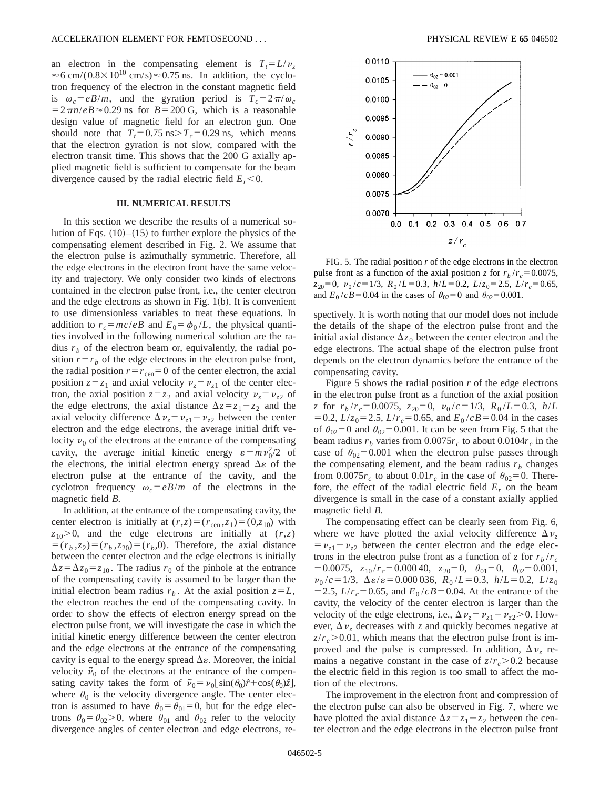an electron in the compensating element is  $T_t = L/v_\tau$  $\approx$  6 cm/(0.8×10<sup>10</sup> cm/s) $\approx$ 0.75 ns. In addition, the cyclotron frequency of the electron in the constant magnetic field is  $\omega_c = eB/m$ , and the gyration period is  $T_c = 2\pi/\omega_c$  $=2\pi n/eB \approx 0.29$  ns for  $B=200$  G, which is a reasonable design value of magnetic field for an electron gun. One should note that  $T<sub>r</sub>=0.75$  ns $>T<sub>c</sub>=0.29$  ns, which means that the electron gyration is not slow, compared with the electron transit time. This shows that the 200 G axially applied magnetic field is sufficient to compensate for the beam divergence caused by the radial electric field  $E_r < 0$ .

#### **III. NUMERICAL RESULTS**

In this section we describe the results of a numerical solution of Eqs.  $(10)$ – $(15)$  to further explore the physics of the compensating element described in Fig. 2. We assume that the electron pulse is azimuthally symmetric. Therefore, all the edge electrons in the electron front have the same velocity and trajectory. We only consider two kinds of electrons contained in the electron pulse front, i.e., the center electron and the edge electrons as shown in Fig.  $1(b)$ . It is convenient to use dimensionless variables to treat these equations. In addition to  $r_c = mc/eB$  and  $E_0 = \phi_0/L$ , the physical quantities involved in the following numerical solution are the radius  $r_b$  of the electron beam or, equivalently, the radial position  $r=r_b$  of the edge electrons in the electron pulse front, the radial position  $r=r_{\text{cen}}=0$  of the center electron, the axial position  $z = z_1$  and axial velocity  $v_z = v_{z1}$  of the center electron, the axial position  $z = z_2$  and axial velocity  $v_z = v_{z2}$  of the edge electrons, the axial distance  $\Delta z = z_1 - z_2$  and the axial velocity difference  $\Delta \nu_z = \nu_{z1} - \nu_{z2}$  between the center electron and the edge electrons, the average initial drift velocity  $v_0$  of the electrons at the entrance of the compensating cavity, the average initial kinetic energy  $\varepsilon = m v_0^2/2$  of the electrons, the initial electron energy spread  $\Delta \varepsilon$  of the electron pulse at the entrance of the cavity, and the cyclotron frequency  $\omega_c = eB/m$  of the electrons in the magnetic field *B*.

In addition, at the entrance of the compensating cavity, the center electron is initially at  $(r, z) = (r_{\text{cen}}, z_1) = (0, z_{10})$  with  $z_{10}$  $> 0$ , and the edge electrons are initially at  $(r, z)$  $=(r_b, z_2)=(r_b, z_{20})=(r_b, 0)$ . Therefore, the axial distance between the center electron and the edge electrons is initially  $\Delta z = \Delta z_0 = z_{10}$ . The radius  $r_0$  of the pinhole at the entrance of the compensating cavity is assumed to be larger than the initial electron beam radius  $r_b$ . At the axial position  $z = L$ , the electron reaches the end of the compensating cavity. In order to show the effects of electron energy spread on the electron pulse front, we will investigate the case in which the initial kinetic energy difference between the center electron and the edge electrons at the entrance of the compensating cavity is equal to the energy spread  $\Delta \varepsilon$ . Moreover, the initial velocity  $\vec{v}_0$  of the electrons at the entrance of the compensating cavity takes the form of  $\vec{v}_0 = v_0 \sin(\theta_0)\hat{r} + \cos(\theta_0)\hat{z}$ , where  $\theta_0$  is the velocity divergence angle. The center electron is assumed to have  $\theta_0 = \theta_{01} = 0$ , but for the edge electrons  $\theta_0 = \theta_{02} > 0$ , where  $\theta_{01}$  and  $\theta_{02}$  refer to the velocity divergence angles of center electron and edge electrons, re-



FIG. 5. The radial position *r* of the edge electrons in the electron pulse front as a function of the axial position *z* for  $r_b/r_c = 0.0075$ ,  $z_{20}=0$ ,  $v_0/c=1/3$ ,  $R_0/L=0.3$ ,  $h/L=0.2$ ,  $L/z_0=2.5$ ,  $L/r_c=0.65$ , and  $E_0/cB = 0.04$  in the cases of  $\theta_{02} = 0$  and  $\theta_{02} = 0.001$ .

spectively. It is worth noting that our model does not include the details of the shape of the electron pulse front and the initial axial distance  $\Delta z_0$  between the center electron and the edge electrons. The actual shape of the electron pulse front depends on the electron dynamics before the entrance of the compensating cavity.

Figure 5 shows the radial position *r* of the edge electrons in the electron pulse front as a function of the axial position *z* for  $r_b/r_c = 0.0075$ ,  $z_{20} = 0$ ,  $v_0/c = 1/3$ ,  $R_0/L = 0.3$ ,  $h/L$  $=0.2$ ,  $L/z_0=2.5$ ,  $L/r_c=0.65$ , and  $E_0/cB=0.04$  in the cases of  $\theta_{02}$ =0 and  $\theta_{02}$ =0.001. It can be seen from Fig. 5 that the beam radius  $r_b$  varies from 0.0075 $r_c$  to about 0.0104 $r_c$  in the case of  $\theta_{02}$ =0.001 when the electron pulse passes through the compensating element, and the beam radius  $r<sub>b</sub>$  changes from  $0.0075r_c$  to about  $0.01r_c$  in the case of  $\theta_{02} = 0$ . Therefore, the effect of the radial electric field  $E_r$  on the beam divergence is small in the case of a constant axially applied magnetic field *B*.

The compensating effect can be clearly seen from Fig. 6, where we have plotted the axial velocity difference  $\Delta v_z$  $= v_{z1} - v_{z2}$  between the center electron and the edge electrons in the electron pulse front as a function of *z* for  $r_b/r_c$  $=0.0075$ ,  $z_{10}/r_c = 0.00040$ ,  $z_{20} = 0$ ,  $\theta_{01} = 0$ ,  $\theta_{02} = 0.001$ ,  $\nu_0/c = 1/3$ ,  $\Delta \varepsilon / \varepsilon = 0.000036$ ,  $R_0/L = 0.3$ ,  $h/L = 0.2$ ,  $L/z_0$ = 2.5,  $L/r_c = 0.65$ , and  $E_0/cB = 0.04$ . At the entrance of the cavity, the velocity of the center electron is larger than the velocity of the edge electrons, i.e.,  $\Delta \nu_z = \nu_{z1} - \nu_{z2} > 0$ . However,  $\Delta v_z$  decreases with *z* and quickly becomes negative at  $z/r_c$   $>$  0.01, which means that the electron pulse front is improved and the pulse is compressed. In addition,  $\Delta \nu_z$  remains a negative constant in the case of  $z/r_c$  > 0.2 because the electric field in this region is too small to affect the motion of the electrons.

The improvement in the electron front and compression of the electron pulse can also be observed in Fig. 7, where we have plotted the axial distance  $\Delta z = z_1 - z_2$  between the center electron and the edge electrons in the electron pulse front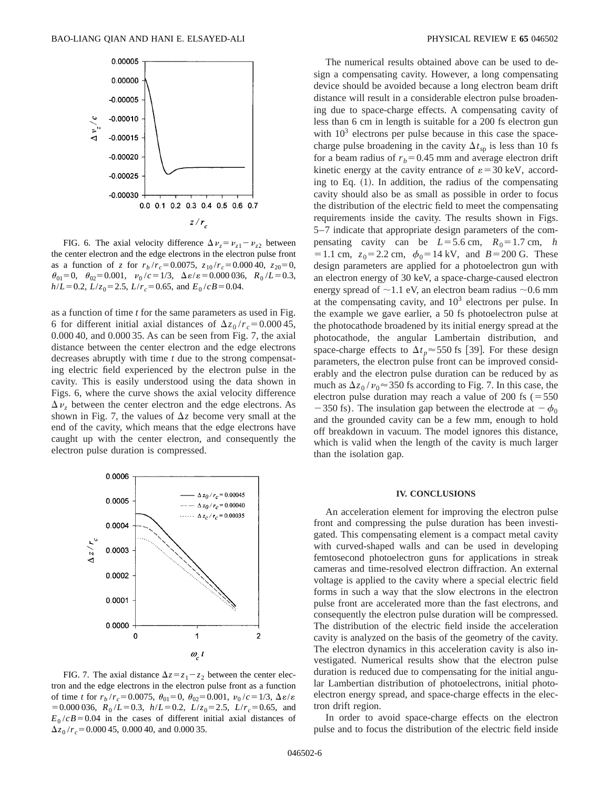

FIG. 6. The axial velocity difference  $\Delta \nu_z = \nu_{z1} - \nu_{z2}$  between the center electron and the edge electrons in the electron pulse front as a function of *z* for  $r_b/r_c = 0.0075$ ,  $z_{10}/r_c = 0.00040$ ,  $z_{20} = 0$ ,  $\theta_{01} = 0$ ,  $\theta_{02} = 0.001$ ,  $\nu_0 / c = 1/3$ ,  $\Delta \varepsilon / \varepsilon = 0.000036$ ,  $R_0 / L = 0.3$ ,  $h/L = 0.2$ ,  $L/z_0 = 2.5$ ,  $L/r_c = 0.65$ , and  $E_0/cB = 0.04$ .

as a function of time *t* for the same parameters as used in Fig. 6 for different initial axial distances of  $\Delta z_0 / r_c = 0.00045$ , 0.000 40, and 0.000 35. As can be seen from Fig. 7, the axial distance between the center electron and the edge electrons decreases abruptly with time *t* due to the strong compensating electric field experienced by the electron pulse in the cavity. This is easily understood using the data shown in Figs. 6, where the curve shows the axial velocity difference  $\Delta v$ <sub>z</sub> between the center electron and the edge electrons. As shown in Fig. 7, the values of  $\Delta z$  become very small at the end of the cavity, which means that the edge electrons have caught up with the center electron, and consequently the electron pulse duration is compressed.



FIG. 7. The axial distance  $\Delta z = z_1 - z_2$  between the center electron and the edge electrons in the electron pulse front as a function of time *t* for  $r_b/r_c = 0.0075$ ,  $\theta_{01} = 0$ ,  $\theta_{02} = 0.001$ ,  $v_0/c = 1/3$ ,  $\Delta \varepsilon / \varepsilon$  $=0.000\,036$ ,  $R_0/L=0.3$ ,  $h/L=0.2$ ,  $L/z_0=2.5$ ,  $L/r_c=0.65$ , and  $E_0/cB$ =0.04 in the cases of different initial axial distances of  $\Delta z_0/r_c$  = 0.000 45, 0.000 40, and 0.000 35.

The numerical results obtained above can be used to design a compensating cavity. However, a long compensating device should be avoided because a long electron beam drift distance will result in a considerable electron pulse broadening due to space-charge effects. A compensating cavity of less than 6 cm in length is suitable for a 200 fs electron gun with  $10<sup>3</sup>$  electrons per pulse because in this case the spacecharge pulse broadening in the cavity  $\Delta t_{sp}$  is less than 10 fs for a beam radius of  $r_b$ =0.45 mm and average electron drift kinetic energy at the cavity entrance of  $\varepsilon = 30 \text{ keV}$ , according to Eq.  $(1)$ . In addition, the radius of the compensating cavity should also be as small as possible in order to focus the distribution of the electric field to meet the compensating requirements inside the cavity. The results shown in Figs. 5–7 indicate that appropriate design parameters of the compensating cavity can be  $L=5.6$  cm,  $R_0=1.7$  cm, *h*  $= 1.1$  cm,  $z_0 = 2.2$  cm,  $\phi_0 = 14$  kV, and  $B = 200$  G. These design parameters are applied for a photoelectron gun with an electron energy of 30 keV, a space-charge-caused electron energy spread of  $\sim$ 1.1 eV, an electron beam radius  $\sim$ 0.6 mm at the compensating cavity, and  $10<sup>3</sup>$  electrons per pulse. In the example we gave earlier, a 50 fs photoelectron pulse at the photocathode broadened by its initial energy spread at the photocathode, the angular Lambertain distribution, and space-charge effects to  $\Delta t_p \approx 550$  fs [39]. For these design parameters, the electron pulse front can be improved considerably and the electron pulse duration can be reduced by as much as  $\Delta z_0 / v_0 \approx 350$  fs according to Fig. 7. In this case, the electron pulse duration may reach a value of 200 fs  $(=550$  $-350$  fs). The insulation gap between the electrode at  $-\phi_0$ and the grounded cavity can be a few mm, enough to hold off breakdown in vacuum. The model ignores this distance, which is valid when the length of the cavity is much larger than the isolation gap.

#### **IV. CONCLUSIONS**

An acceleration element for improving the electron pulse front and compressing the pulse duration has been investigated. This compensating element is a compact metal cavity with curved-shaped walls and can be used in developing femtosecond photoelectron guns for applications in streak cameras and time-resolved electron diffraction. An external voltage is applied to the cavity where a special electric field forms in such a way that the slow electrons in the electron pulse front are accelerated more than the fast electrons, and consequently the electron pulse duration will be compressed. The distribution of the electric field inside the acceleration cavity is analyzed on the basis of the geometry of the cavity. The electron dynamics in this acceleration cavity is also investigated. Numerical results show that the electron pulse duration is reduced due to compensating for the initial angular Lambertian distribution of photoelectrons, initial photoelectron energy spread, and space-charge effects in the electron drift region.

In order to avoid space-charge effects on the electron pulse and to focus the distribution of the electric field inside